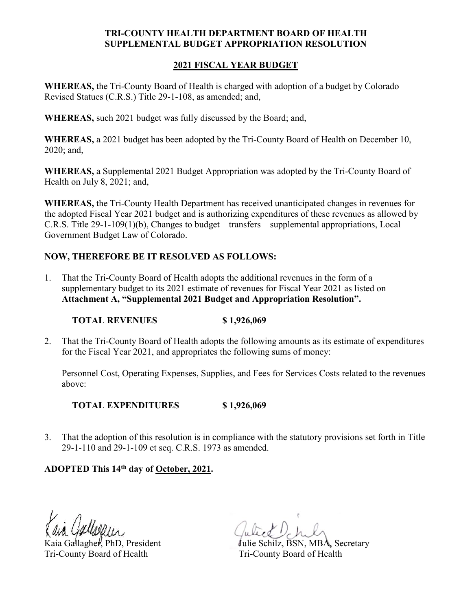## **TRI-COUNTY HEALTH DEPARTMENT BOARD OF HEALTH SUPPLEMENTAL BUDGET APPROPRIATION RESOLUTION**

## **2021 FISCAL YEAR BUDGET**

**WHEREAS,** the Tri-County Board of Health is charged with adoption of a budget by Colorado Revised Statues (C.R.S.) Title 29-1-108, as amended; and,

**WHEREAS,** such 2021 budget was fully discussed by the Board; and,

**WHEREAS,** a 2021 budget has been adopted by the Tri-County Board of Health on December 10, 2020; and,

**WHEREAS,** a Supplemental 2021 Budget Appropriation was adopted by the Tri-County Board of Health on July 8, 2021; and,

**WHEREAS,** the Tri-County Health Department has received unanticipated changes in revenues for the adopted Fiscal Year 2021 budget and is authorizing expenditures of these revenues as allowed by C.R.S. Title 29-1-109(1)(b), Changes to budget – transfers – supplemental appropriations, Local Government Budget Law of Colorado.

## **NOW, THEREFORE BE IT RESOLVED AS FOLLOWS:**

1. That the Tri-County Board of Health adopts the additional revenues in the form of a supplementary budget to its 2021 estimate of revenues for Fiscal Year 2021 as listed on **Attachment A, "Supplemental 2021 Budget and Appropriation Resolution".**

## **TOTAL REVENUES \$ 1,926,069**

2. That the Tri-County Board of Health adopts the following amounts as its estimate of expenditures for the Fiscal Year 2021, and appropriates the following sums of money:

Personnel Cost, Operating Expenses, Supplies, and Fees for Services Costs related to the revenues above:

**TOTAL EXPENDITURES \$ 1,926,069**

3. That the adoption of this resolution is in compliance with the statutory provisions set forth in Title 29-1-110 and 29-1-109 et seq. C.R.S. 1973 as amended.

**ADOPTED This 14th day of October, 2021.**

Tri-County Board of Health Tri-County Board of Health

Kaia Gallagher, PhD, President Julie Schilz, BSN, MBA, Secretary